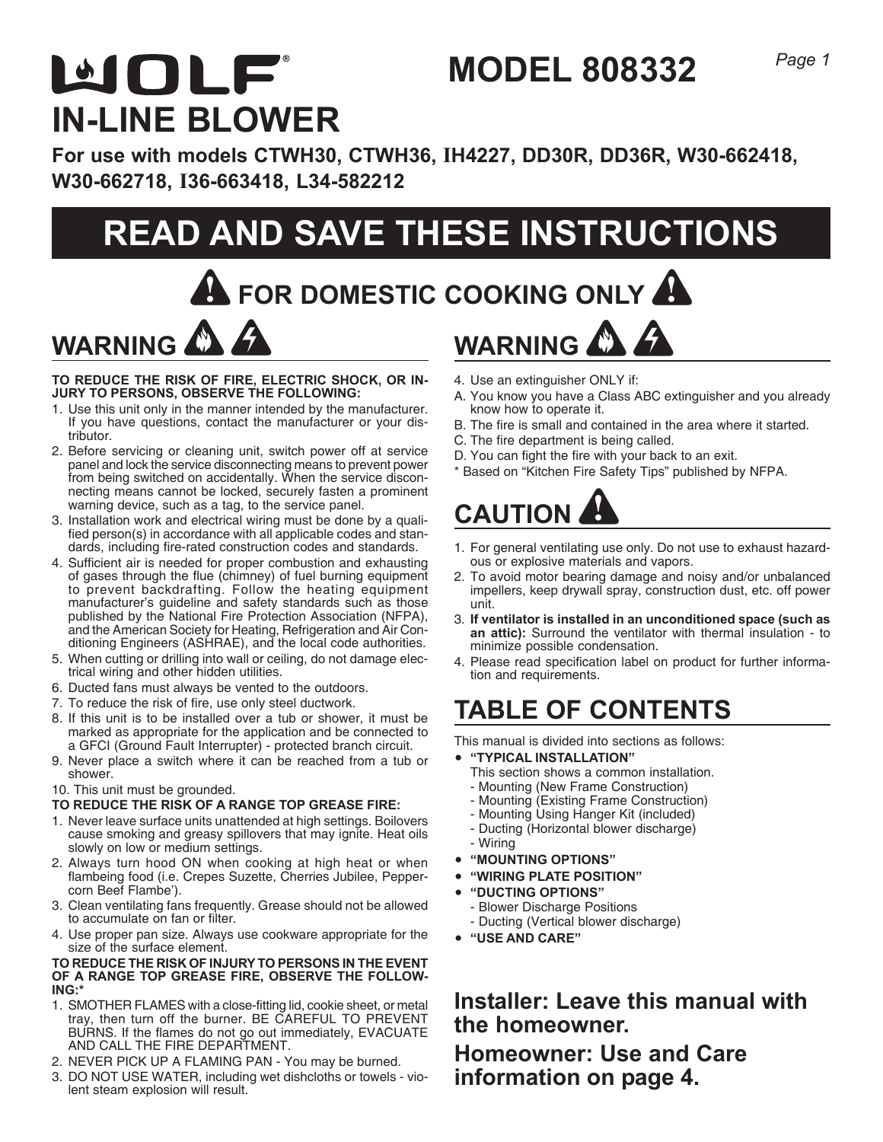# MOLF **IN-LINE BLOWER**

**For use with models CTWH30, CTWH36, IH4227, DD30R, DD36R, W30-662418, W30-662718, I36-663418, L34-582212**

# **READ AND SAVE THESE INSTRUCTIONS**

**! FOR DOMESTIC COOKING ONLY !**

# **WARNING WARNING**

**TO REDUCE THE RISK OF FIRE, ELECTRIC SHOCK, OR IN-JURY TO PERSONS, OBSERVE THE FOLLOWING:**

- 1. Use this unit only in the manner intended by the manufacturer. If you have questions, contact the manufacturer or your distributor.
- 2. Before servicing or cleaning unit, switch power off at service panel and lock the service disconnecting means to prevent power from being switched on accidentally. When the service disconnecting means cannot be locked, securely fasten a prominent warning device, such as a tag, to the service panel.
- 3. Installation work and electrical wiring must be done by a qualified person(s) in accordance with all applicable codes and standards, including fire-rated construction codes and standards.
- 4. Sufficient air is needed for proper combustion and exhausting of gases through the flue (chimney) of fuel burning equipment to prevent backdrafting. Follow the heating equipment manufacturer's guideline and safety standards such as those published by the National Fire Protection Association (NFPA), and the American Society for Heating, Refrigeration and Air Conditioning Engineers (ASHRAE), and the local code authorities.
- 5. When cutting or drilling into wall or ceiling, do not damage electrical wiring and other hidden utilities.
- 6. Ducted fans must always be vented to the outdoors.
- 7. To reduce the risk of fire, use only steel ductwork.
- 8. If this unit is to be installed over a tub or shower, it must be marked as appropriate for the application and be connected to a GFCI (Ground Fault Interrupter) - protected branch circuit.
- 9. Never place a switch where it can be reached from a tub or shower.
- 10. This unit must be grounded.

#### **TO REDUCE THE RISK OF A RANGE TOP GREASE FIRE:**

- 1. Never leave surface units unattended at high settings. Boilovers cause smoking and greasy spillovers that may ignite. Heat oils slowly on low or medium settings.
- 2. Always turn hood ON when cooking at high heat or when flambeing food (i.e. Crepes Suzette, Cherries Jubilee, Peppercorn Beef Flambe').
- 3. Clean ventilating fans frequently. Grease should not be allowed to accumulate on fan or filter.
- 4. Use proper pan size. Always use cookware appropriate for the size of the surface element.

#### **TO REDUCE THE RISK OF INJURY TO PERSONS IN THE EVENT OF A RANGE TOP GREASE FIRE, OBSERVE THE FOLLOW-ING:\***

- 1. SMOTHER FLAMES with a close-fitting lid, cookie sheet, or metal tray, then turn off the burner. BE CAREFUL TO PREVENT BURNS. If the flames do not go out immediately, EVACUATE AND CALL THE FIRE DEPARTMENT.
- 2. NEVER PICK UP A FLAMING PAN You may be burned.
- 3. DO NOT USE WATER, including wet dishcloths or towels violent steam explosion will result.
- 4. Use an extinguisher ONLY if:
- A. You know you have a Class ABC extinguisher and you already know how to operate it.
- B. The fire is small and contained in the area where it started.
- C. The fire department is being called.

**MODEL 808332**

- D. You can fight the fire with your back to an exit.
- \* Based on "Kitchen Fire Safety Tips" published by NFPA.

# **CAUTION !**

- 1. For general ventilating use only. Do not use to exhaust hazardous or explosive materials and vapors.
- 2. To avoid motor bearing damage and noisy and/or unbalanced impellers, keep drywall spray, construction dust, etc. off power unit.
- 3. **If ventilator is installed in an unconditioned space (such as an attic):** Surround the ventilator with thermal insulation - to minimize possible condensation.
- 4. Please read specification label on product for further information and requirements.

# **TABLE OF CONTENTS**

This manual is divided into sections as follows:

- y **"TYPICAL INSTALLATION"**
	- This section shows a common installation.
	- Mounting (New Frame Construction)
	- Mounting (Existing Frame Construction)
	- Mounting Using Hanger Kit (included)
	- Ducting (Horizontal blower discharge)
	- Wiring
- y **"MOUNTING OPTIONS"**
- y **"WIRING PLATE POSITION"**
- y **"DUCTING OPTIONS"**
	- Blower Discharge Positions
	- Ducting (Vertical blower discharge)
- y **"USE AND CARE"**

**Installer: Leave this manual with the homeowner. Homeowner: Use and Care information on page 4.**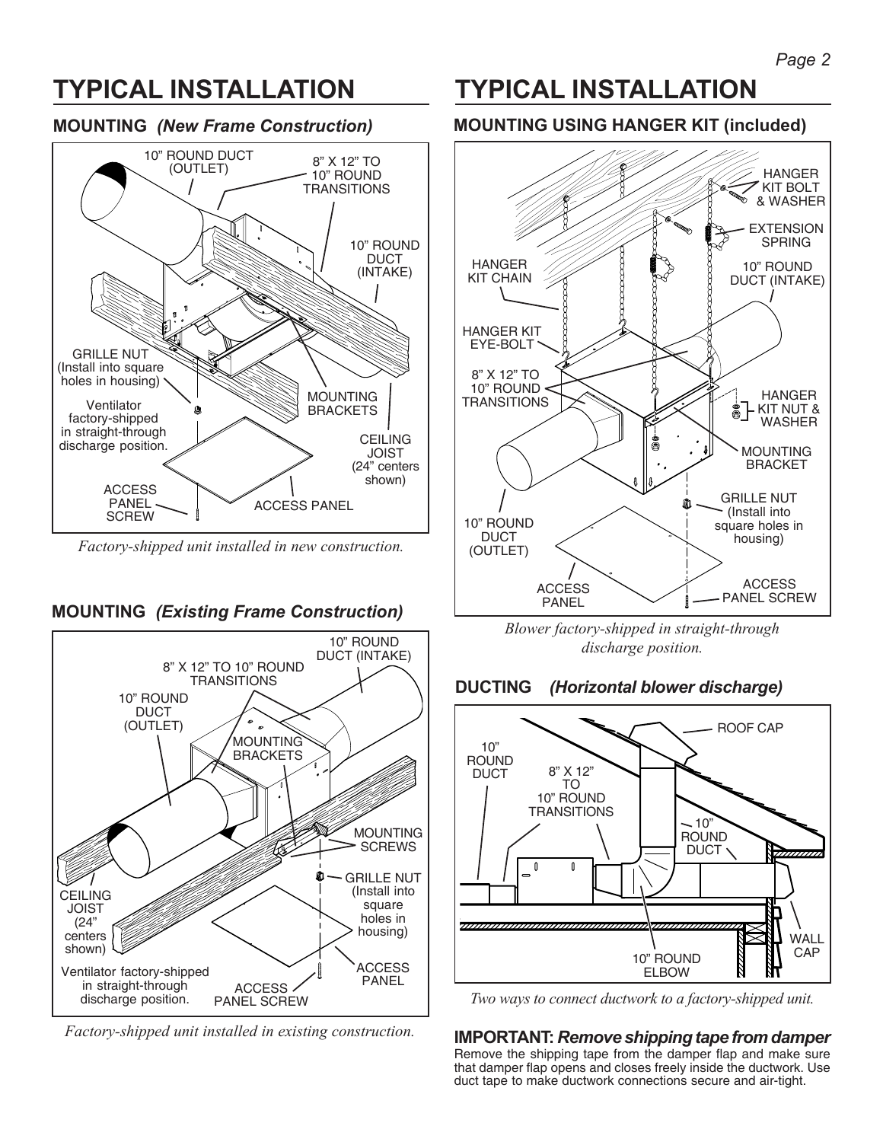# **TYPICAL INSTALLATION**

### **MOUNTING** *(New Frame Construction)*



*Factory-shipped unit installed in new construction.*

### **MOUNTING** *(Existing Frame Construction)*



*Factory-shipped unit installed in existing construction.*

## **TYPICAL INSTALLATION**

### **MOUNTING USING HANGER KIT (included)**



*Blower factory-shipped in straight-through discharge position.*





*Two ways to connect ductwork to a factory-shipped unit.*

### **IMPORTANT:** *Remove shipping tape from damper*

Remove the shipping tape from the damper flap and make sure that damper flap opens and closes freely inside the ductwork. Use duct tape to make ductwork connections secure and air-tight.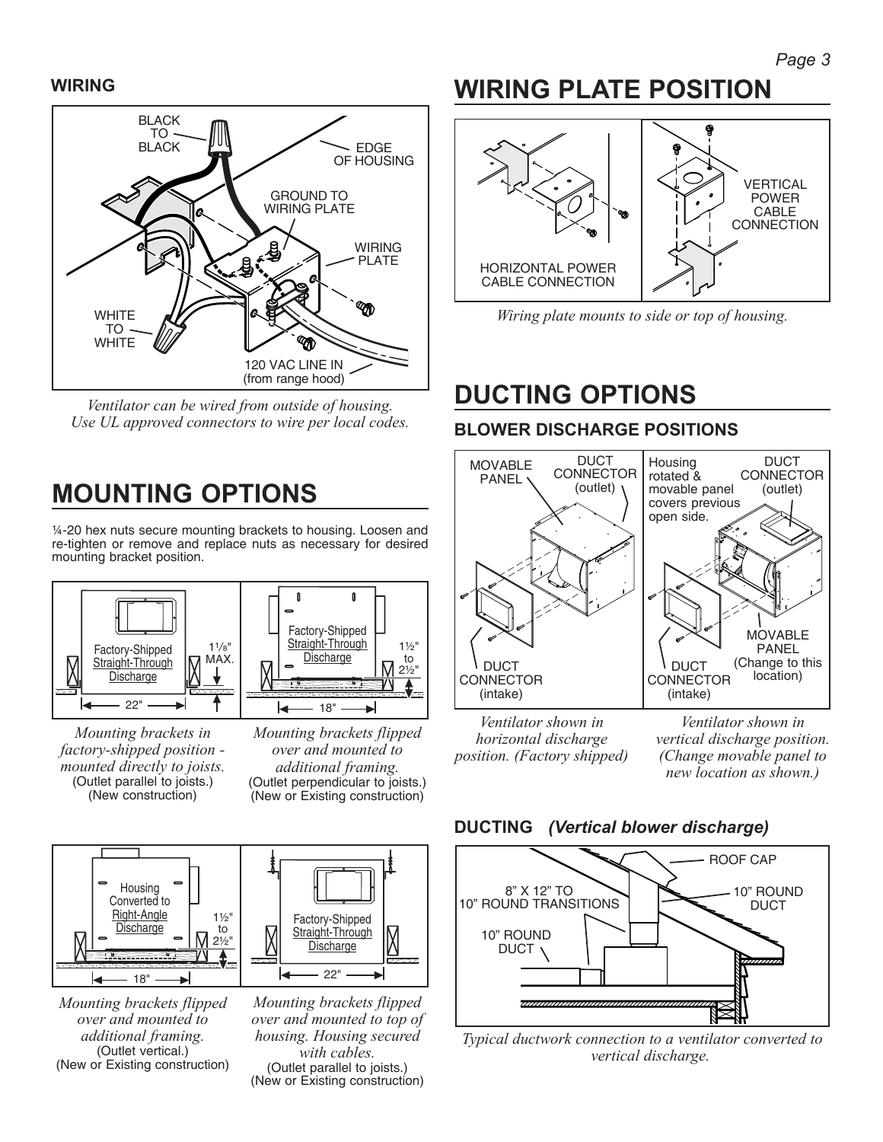### **WIRING**



*Ventilator can be wired from outside of housing. Use UL approved connectors to wire per local codes.*

# **MOUNTING OPTIONS**

¼-20 hex nuts secure mounting brackets to housing. Loosen and re-tighten or remove and replace nuts as necessary for desired mounting bracket position.



*Mounting brackets in factory-shipped position mounted directly to joists.* (Outlet parallel to joists.) (New construction)



*Mounting brackets flipped over and mounted to additional framing.* (Outlet perpendicular to joists.) (New or Existing construction)



*Mounting brackets flipped over and mounted to additional framing.* (Outlet vertical.) (New or Existing construction)



# **WIRING PLATE POSITION**



*Wiring plate mounts to side or top of housing.*

# **DUCTING OPTIONS**

### **BLOWER DISCHARGE POSITIONS**



*Ventilator shown in horizontal discharge position. (Factory shipped)*

*Ventilator shown in vertical discharge position. (Change movable panel to new location as shown.)*





*Typical ductwork connection to a ventilator converted to vertical discharge.*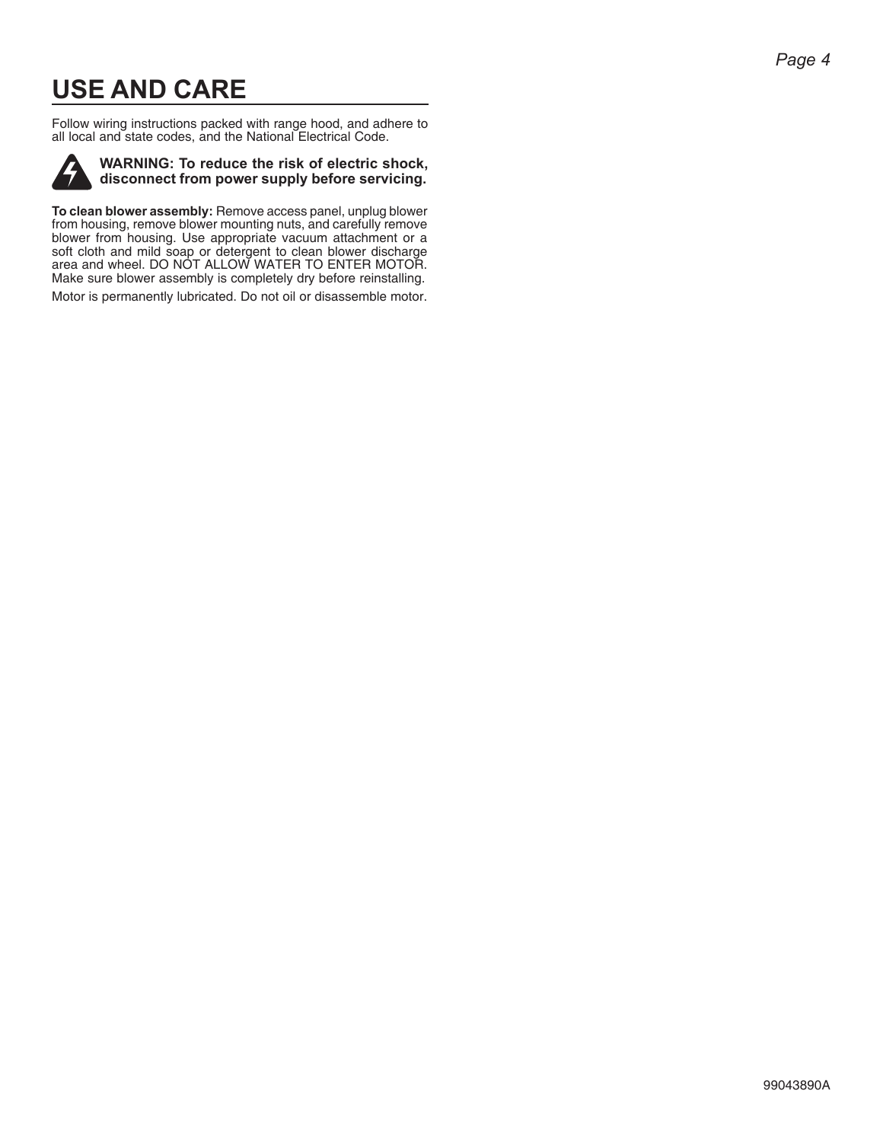# **USE AND CARE**

Follow wiring instructions packed with range hood, and adhere to all local and state codes, and the National Electrical Code.



**WARNING: To reduce the risk of electric shock, disconnect from power supply before servicing.**

**To clean blower assembly:** Remove access panel, unplug blower from housing, remove blower mounting nuts, and carefully remove blower from housing. Use appropriate vacuum attachment or a soft cloth and mild soap or detergent to clean blower discharge area and wheel. DO NOT ALLOW WATER TO ENTER MOTOR. Make sure blower assembly is completely dry before reinstalling.

Motor is permanently lubricated. Do not oil or disassemble motor.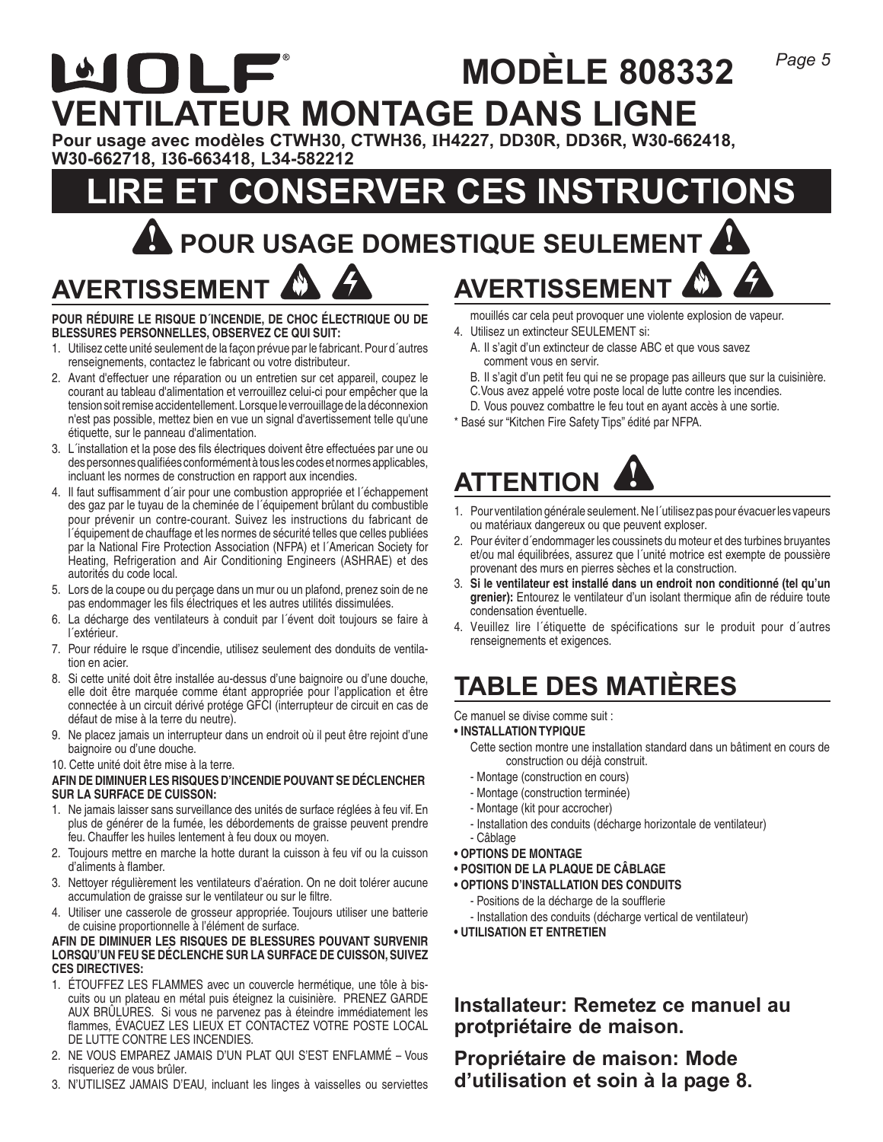### WOLF **MODÈLE 808332 VENTILATEUR MONTAGE DANS LIGNE**

**Pour usage avec modèles CTWH30, CTWH36, IH4227, DD30R, DD36R, W30-662418, W30-662718, I36-663418, L34-582212**

# **CONSERVER CES INSTRUCTIONS ! POUR USAGE DOMESTIQUE SEULEMENT !**

**AVERTISSEMENT**

#### **POUR RÉDUIRE LE RISQUE D´INCENDIE, DE CHOC ÉLECTRIQUE OU DE BLESSURES PERSONNELLES, OBSERVEZ CE QUI SUIT:**

- 1. Utilisez cette unité seulement de la façon prévue par le fabricant. Pour d´autres renseignements, contactez le fabricant ou votre distributeur.
- 2. Avant d'effectuer une réparation ou un entretien sur cet appareil, coupez le courant au tableau d'alimentation et verrouillez celui-ci pour empêcher que la tension soit remise accidentellement. Lorsque le verrouillage de la déconnexion n'est pas possible, mettez bien en vue un signal d'avertissement telle qu'une étiquette, sur le panneau d'alimentation.
- 3. L´installation et la pose des fils électriques doivent être effectuées par une ou des personnes qualifiées conformément à tous les codes et normes applicables, incluant les normes de construction en rapport aux incendies.
- 4. Il faut suffisamment d´air pour une combustion appropriée et l´échappement des gaz par le tuyau de la cheminée de l´équipement brûlant du combustible pour prévenir un contre-courant. Suivez les instructions du fabricant de l´équipement de chauffage et les normes de sécurité telles que celles publiées par la National Fire Protection Association (NFPA) et l´American Society for Heating, Refrigeration and Air Conditioning Engineers (ASHRAE) et des autorités du code local.
- 5. Lors de la coupe ou du perçage dans un mur ou un plafond, prenez soin de ne pas endommager les fils électriques et les autres utilités dissimulées.
- 6. La décharge des ventilateurs à conduit par l´évent doit toujours se faire à l´extérieur.
- 7. Pour réduire le rsque d'incendie, utilisez seulement des donduits de ventilation en acier.
- 8. Si cette unité doit être installée au-dessus d'une baignoire ou d'une douche, elle doit être marquée comme étant appropriée pour l'application et être connectée à un circuit dérivé protége GFCI (interrupteur de circuit en cas de défaut de mise à la terre du neutre).
- 9. Ne placez jamais un interrupteur dans un endroit où il peut être rejoint d'une baignoire ou d'une douche.
- 10. Cette unité doit être mise à la terre.

#### **AFIN DE DIMINUER LES RISQUES D'INCENDIE POUVANT SE DÉCLENCHER SUR LA SURFACE DE CUISSON:**

- 1. Ne jamais laisser sans surveillance des unités de surface réglées à feu vif. En plus de générer de la fumée, les débordements de graisse peuvent prendre feu. Chauffer les huiles lentement à feu doux ou moyen.
- 2. Toujours mettre en marche la hotte durant la cuisson à feu vif ou la cuisson d'aliments à flamber.
- 3. Nettoyer régulièrement les ventilateurs d'aération. On ne doit tolérer aucune accumulation de graisse sur le ventilateur ou sur le filtre.
- 4. Utiliser une casserole de grosseur appropriée. Toujours utiliser une batterie de cuisine proportionnelle à l'élément de surface.

#### **AFIN DE DIMINUER LES RISQUES DE BLESSURES POUVANT SURVENIR LORSQU'UN FEU SE DÉCLENCHE SUR LA SURFACE DE CUISSON, SUIVEZ CES DIRECTIVES:**

- 1. ÉTOUFFEZ LES FLAMMES avec un couvercle hermétique, une tôle à biscuits ou un plateau en métal puis éteignez la cuisinière. PRENEZ GARDE AUX BRÛLURES. Si vous ne parvenez pas à éteindre immédiatement les flammes, ÉVACUEZ LES LIEUX ET CONTACTEZ VOTRE POSTE LOCAL DE LUTTE CONTRE LES INCENDIES.
- 2. NE VOUS EMPAREZ JAMAIS D'UN PLAT QUI S'EST ENFLAMMÉ Vous risqueriez de vous brûler.
- 3. N'UTILISEZ JAMAIS D'EAU, incluant les linges à vaisselles ou serviettes

mouillés car cela peut provoquer une violente explosion de vapeur.

4. Utilisez un extincteur SEULEMENT si:

**AVERTISSEMENT**

- A. Il s'agit d'un extincteur de classe ABC et que vous savez comment vous en servir.
- B. Il s'agit d'un petit feu qui ne se propage pas ailleurs que sur la cuisinière. C.Vous avez appelé votre poste local de lutte contre les incendies.
- D. Vous pouvez combattre le feu tout en ayant accès à une sortie.
- \* Basé sur "Kitchen Fire Safety Tips" édité par NFPA.



- 1. Pour ventilation générale seulement. Ne l´utilisez pas pour évacuer les vapeurs ou matériaux dangereux ou que peuvent exploser.
- 2. Pour éviter d´endommager les coussinets du moteur et des turbines bruyantes et/ou mal équilibrées, assurez que l´unité motrice est exempte de poussière provenant des murs en pierres sèches et la construction.
- 3. **Si le ventilateur est installé dans un endroit non conditionné (tel qu'un grenier):** Entourez le ventilateur d'un isolant thermique afin de réduire toute condensation éventuelle.
- 4. Veuillez lire l´étiquette de spécifications sur le produit pour d´autres renseignements et exigences.

# **TABLE DES MATIÈRES**

Ce manuel se divise comme suit :

- **INSTALLATION TYPIQUE**
	- Cette section montre une installation standard dans un bâtiment en cours de construction ou déjà construit.
	- Montage (construction en cours)
	- Montage (construction terminée)
	- Montage (kit pour accrocher)
	- Installation des conduits (décharge horizontale de ventilateur) - Câblage
- **OPTIONS DE MONTAGE**
- **POSITION DE LA PLAQUE DE CÂBLAGE**
- **OPTIONS D'INSTALLATION DES CONDUITS**
- Positions de la décharge de la soufflerie
	- Installation des conduits (décharge vertical de ventilateur)
- **UTILISATION ET ENTRETIEN**

### **Installateur: Remetez ce manuel au protpriétaire de maison.**

**Propriétaire de maison: Mode d'utilisation et soin à la page 8.**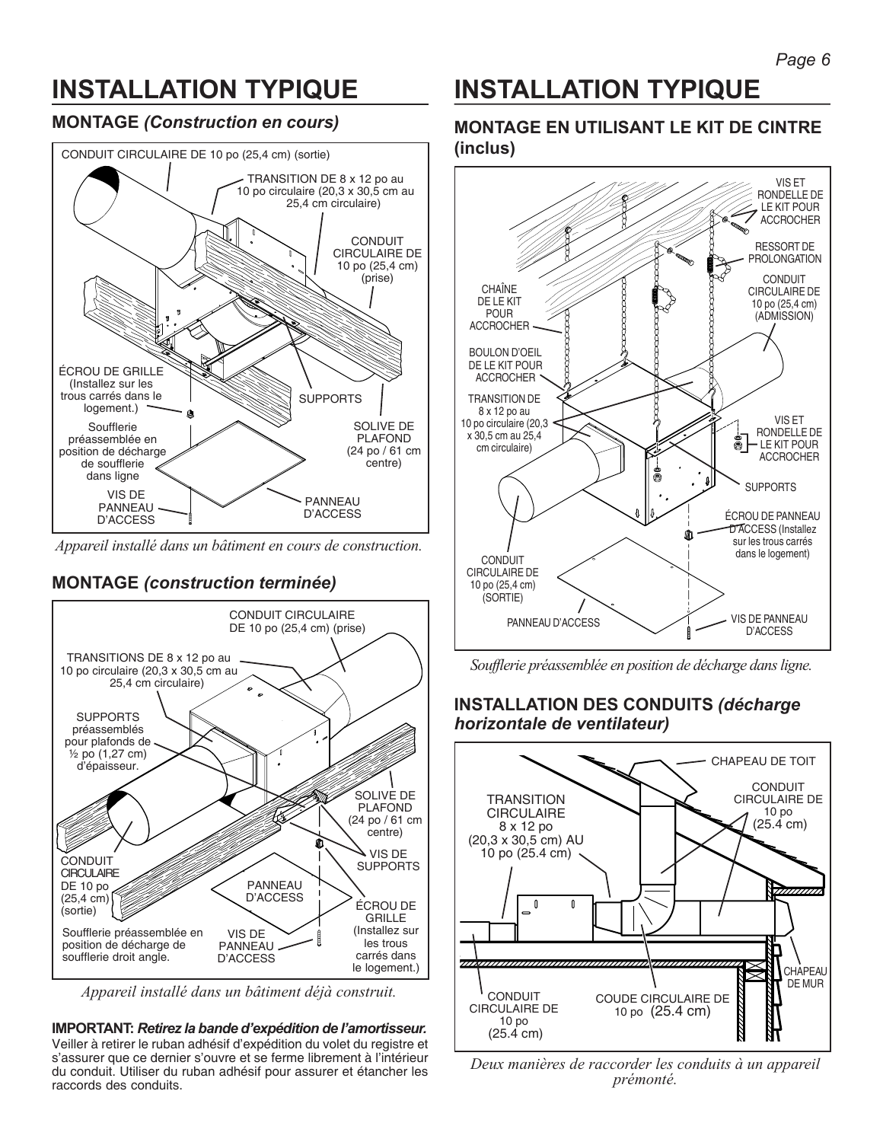# **INSTALLATION TYPIQUE**

### **MONTAGE** *(Construction en cours)*



*Appareil installé dans un bâtiment en cours de construction.*

### **MONTAGE** *(construction terminée)*



*Appareil installé dans un bâtiment déjà construit.*

**IMPORTANT:** *Retirez la bande d'expédition de l'amortisseur.* Veiller à retirer le ruban adhésif d'expédition du volet du registre et s'assurer que ce dernier s'ouvre et se ferme librement à l'intérieur du conduit. Utiliser du ruban adhésif pour assurer et étancher les raccords des conduits.

# **INSTALLATION TYPIQUE**

### **MONTAGE EN UTILISANT LE KIT DE CINTRE (inclus)**



*Soufflerie préassemblée en position de décharge dans ligne.*

### **INSTALLATION DES CONDUITS** *(décharge horizontale de ventilateur)*



*Deux manières de raccorder les conduits à un appareil prémonté.*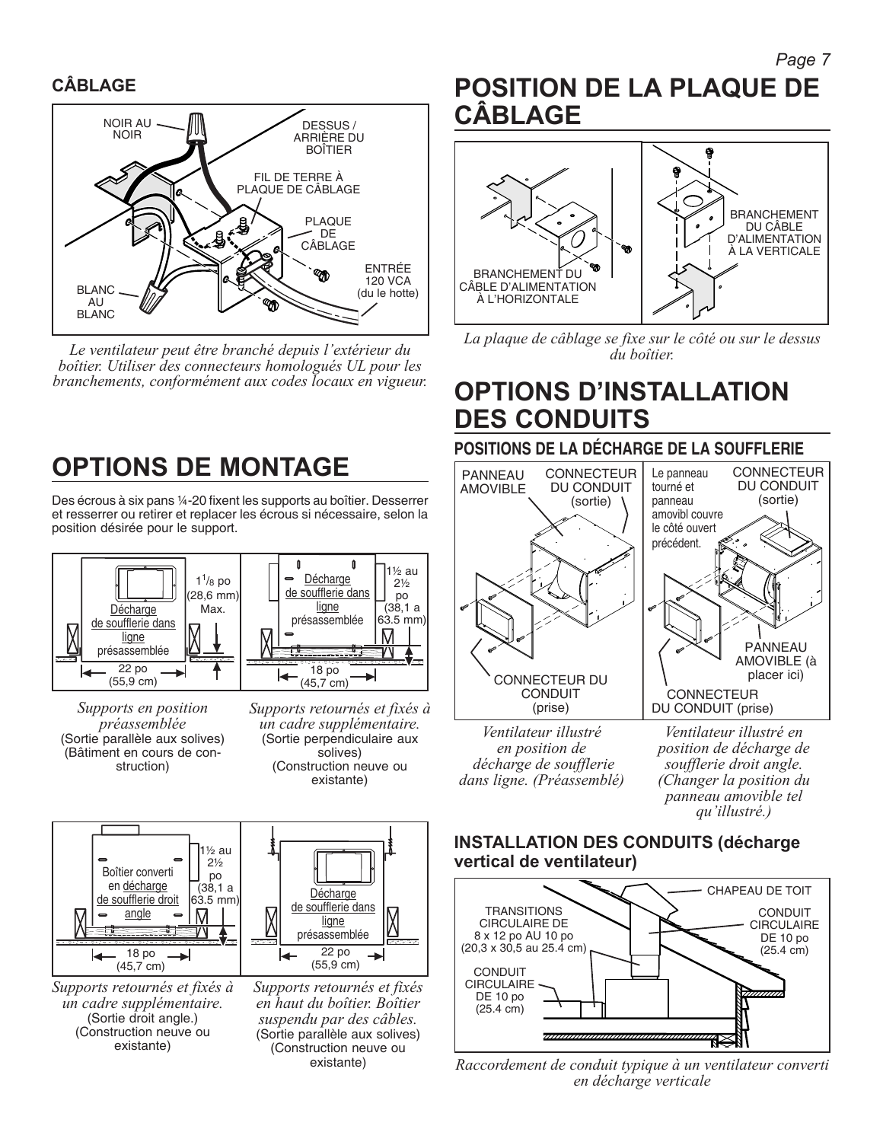### **CÂBLAGE**



*Le ventilateur peut être branché depuis l'extérieur du boîtier. Utiliser des connecteurs homologués UL pour les branchements, conformément aux codes locaux en vigueur.*

# **OPTIONS DE MONTAGE**

Des écrous à six pans ¼-20 fixent les supports au boîtier. Desserrer et resserrer ou retirer et replacer les écrous si nécessaire, selon la position désirée pour le support.



*Supports en position préassemblée* (Sortie parallèle aux solives) (Bâtiment en cours de construction)





*Supports retournés et fixés à un cadre supplémentaire.* (Sortie droit angle.) (Construction neuve ou existante)

*Supports retournés et fixés en haut du boîtier. Boîtier suspendu par des câbles.* (Sortie parallèle aux solives) (Construction neuve ou existante)

## **POSITION DE LA PLAQUE DE CÂBLAGE**



*La plaque de câblage se fixe sur le côté ou sur le dessus du boîtier.*

## **OPTIONS D'INSTALLATION DES CONDUITS**

### **POSITIONS DE LA DÉCHARGE DE LA SOUFFLERIE**



*en position de décharge de soufflerie dans ligne. (Préassemblé)* *position de décharge de soufflerie droit angle. (Changer la position du panneau amovible tel qu'illustré.)*

### **INSTALLATION DES CONDUITS (décharge vertical de ventilateur)**



*Raccordement de conduit typique à un ventilateur converti en décharge verticale*